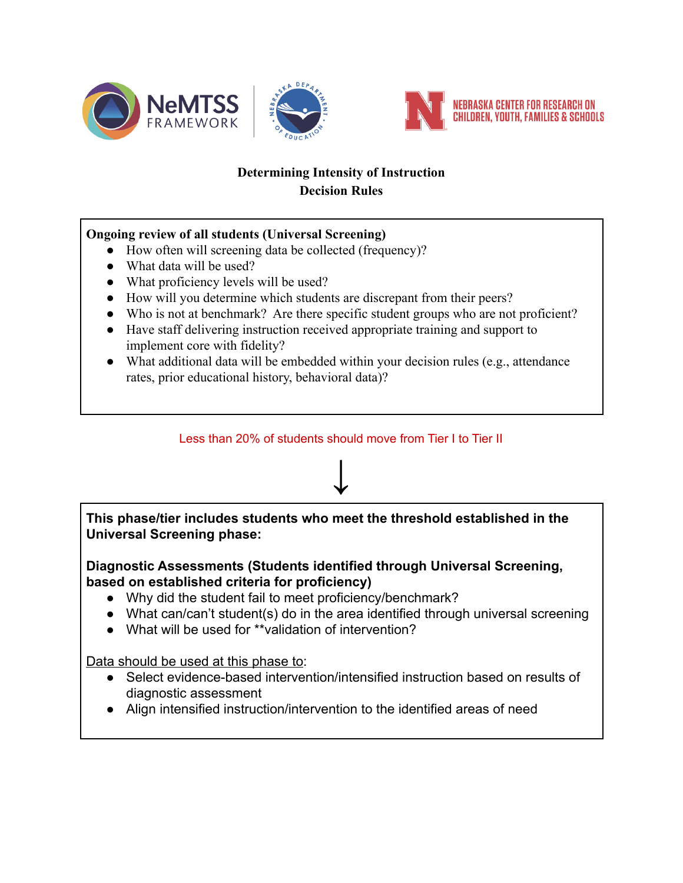



# **Determining Intensity of Instruction Decision Rules**

## **Ongoing review of all students (Universal Screening)**

- How often will screening data be collected (frequency)?
- What data will be used?
- What proficiency levels will be used?
- How will you determine which students are discrepant from their peers?
- Who is not at benchmark? Are there specific student groups who are not proficient?
- Have staff delivering instruction received appropriate training and support to implement core with fidelity?
- What additional data will be embedded within your decision rules (e.g., attendance rates, prior educational history, behavioral data)?

#### Less than 20% of students should move from Tier I to Tier II

**↓**

**This phase/tier includes students who meet the threshold established in the Universal Screening phase:**

**Diagnostic Assessments (Students identified through Universal Screening, based on established criteria for proficiency)**

- Why did the student fail to meet proficiency/benchmark?
- What can/can't student(s) do in the area identified through universal screening
- What will be used for \*\*validation of intervention?

Data should be used at this phase to:

- Select evidence-based intervention/intensified instruction based on results of diagnostic assessment
- Align intensified instruction/intervention to the identified areas of need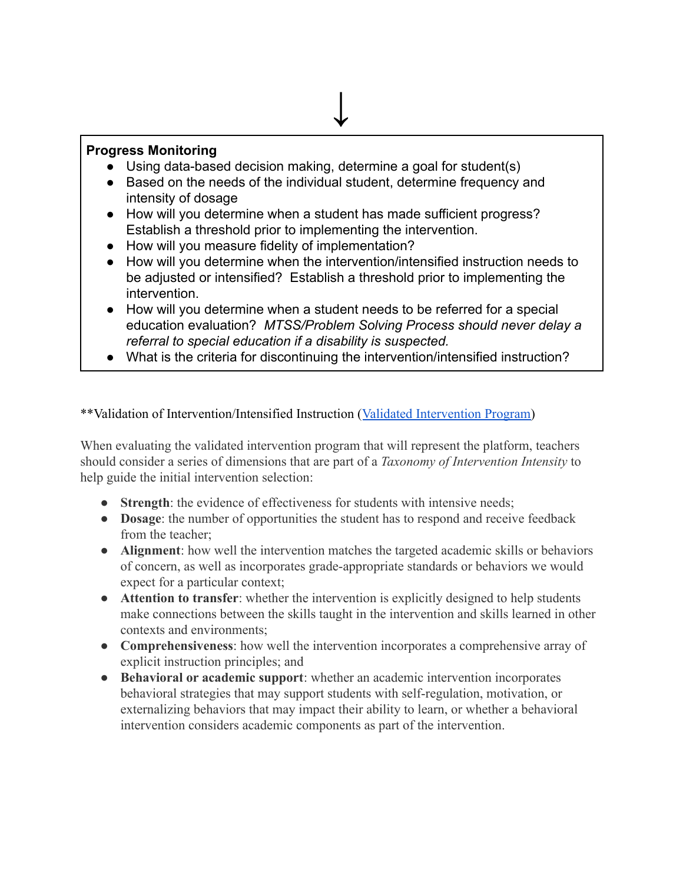### **Progress Monitoring**

- Using data-based decision making, determine a goal for student(s)
- Based on the needs of the individual student, determine frequency and intensity of dosage

**↓**

- How will you determine when a student has made sufficient progress? Establish a threshold prior to implementing the intervention.
- How will you measure fidelity of implementation?
- How will you determine when the intervention/intensified instruction needs to be adjusted or intensified? Establish a threshold prior to implementing the intervention.
- How will you determine when a student needs to be referred for a special education evaluation? *MTSS/Problem Solving Process should never delay a referral to special education if a disability is suspected.*
- What is the criteria for discontinuing the intervention/intensified instruction?

\*\*Validation of Intervention/Intensified Instruction ([Validated Intervention Program\)](https://intensiveintervention.org/intensive-intervention/validated-intervention-program)

When evaluating the validated intervention program that will represent the platform, teachers should consider a series of dimensions that are part of a *Taxonomy of Intervention Intensity* to help guide the initial intervention selection:

- **Strength**: the evidence of effectiveness for students with intensive needs;
- **Dosage**: the number of opportunities the student has to respond and receive feedback from the teacher;
- **Alignment**: how well the intervention matches the targeted academic skills or behaviors of concern, as well as incorporates grade-appropriate standards or behaviors we would expect for a particular context;
- **Attention to transfer**: whether the intervention is explicitly designed to help students make connections between the skills taught in the intervention and skills learned in other contexts and environments;
- **Comprehensiveness**: how well the intervention incorporates a comprehensive array of explicit instruction principles; and
- **Behavioral or academic support**: whether an academic intervention incorporates behavioral strategies that may support students with self-regulation, motivation, or externalizing behaviors that may impact their ability to learn, or whether a behavioral intervention considers academic components as part of the intervention.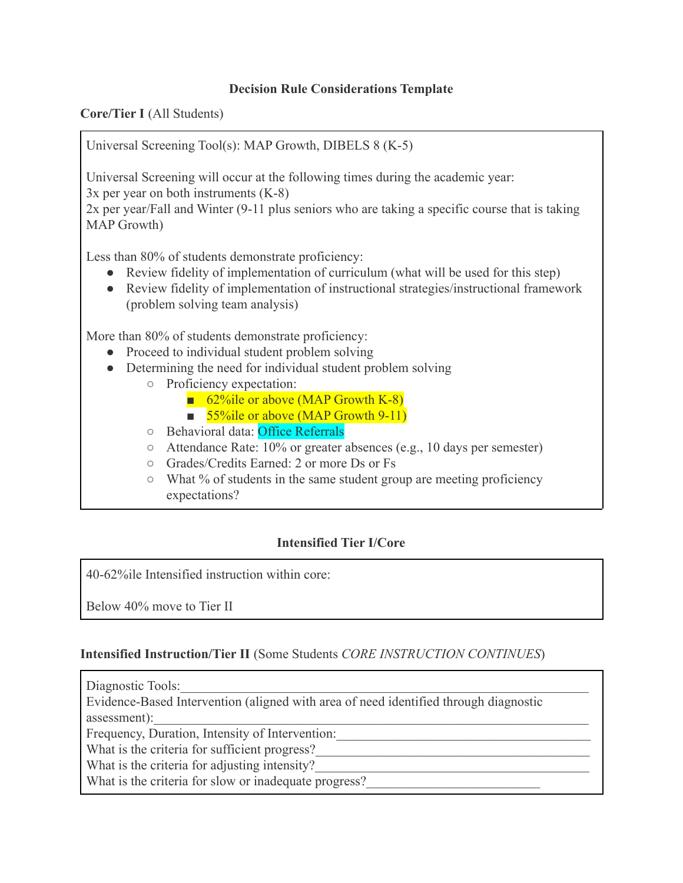#### **Decision Rule Considerations Template**

**Core/Tier I** (All Students)

Universal Screening Tool(s): MAP Growth, DIBELS 8 (K-5)

Universal Screening will occur at the following times during the academic year: 3x per year on both instruments (K-8)

2x per year/Fall and Winter (9-11 plus seniors who are taking a specific course that is taking MAP Growth)

Less than 80% of students demonstrate proficiency:

- Review fidelity of implementation of curriculum (what will be used for this step)
- Review fidelity of implementation of instructional strategies/instructional framework (problem solving team analysis)

More than 80% of students demonstrate proficiency:

- Proceed to individual student problem solving
- Determining the need for individual student problem solving
	- Proficiency expectation:
		- 62%ile or above (MAP Growth K-8)
		- 55%ile or above (MAP Growth 9-11)
	- Behavioral data: Office Referrals
	- Attendance Rate: 10% or greater absences (e.g., 10 days per semester)
	- Grades/Credits Earned: 2 or more Ds or Fs
	- What % of students in the same student group are meeting proficiency expectations?

## **Intensified Tier I/Core**

40-62%ile Intensified instruction within core:

Below 40% move to Tier II

#### **Intensified Instruction/Tier II** (Some Students *CORE INSTRUCTION CONTINUES*)

Diagnostic Tools:

Evidence-Based Intervention (aligned with area of need identified through diagnostic

assessment):

Frequency, Duration, Intensity of Intervention:

What is the criteria for sufficient progress?

What is the criteria for adjusting intensity?

What is the criteria for slow or inadequate progress?